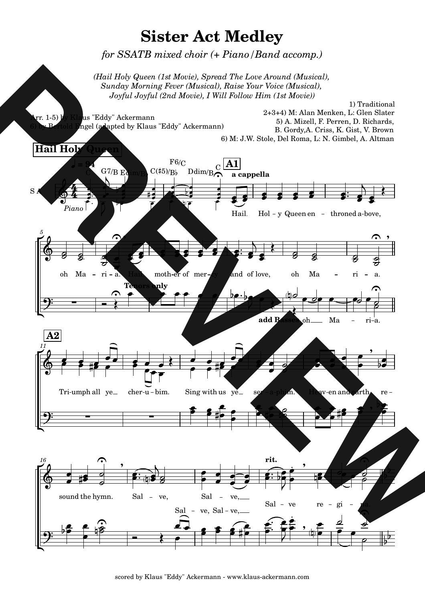

scored by Klaus "Eddy" Ackermann - www.klaus-ackermann.com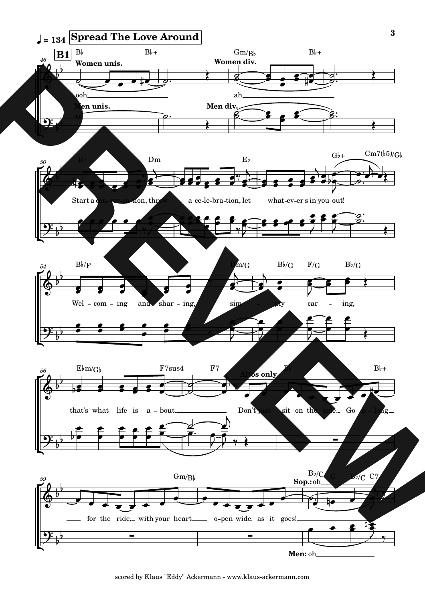

scored by Klaus "Eddy" Ackermann - www.klaus-ackermann.com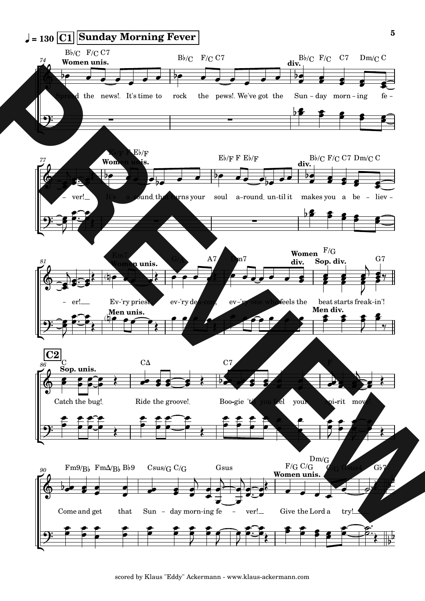

scored by Klaus "Eddy" Ackermann - www.klaus-ackermann.com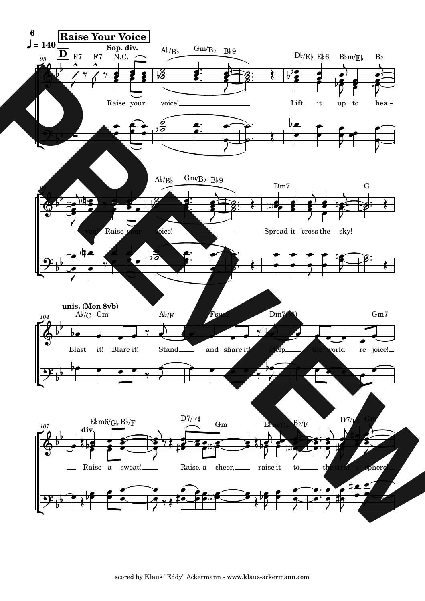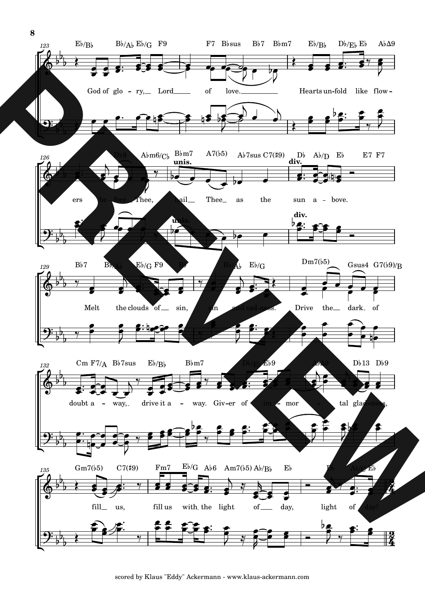

scored by Klaus "Eddy" Ackermann - www.klaus-ackermann.com